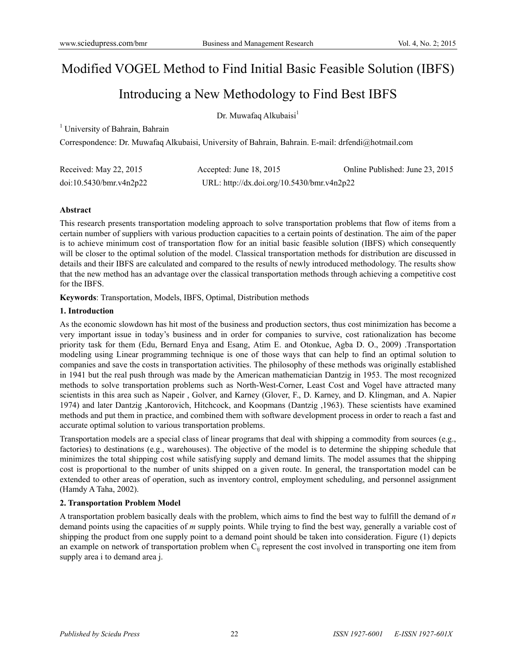# Modified VOGEL Method to Find Initial Basic Feasible Solution (IBFS)

# Introducing a New Methodology to Find Best IBFS

Dr. Muwafaq Alkubaisi<sup>1</sup>

<sup>1</sup> University of Bahrain, Bahrain

Correspondence: Dr. Muwafaq Alkubaisi, University of Bahrain, Bahrain. E-mail: drfendi@hotmail.com

| Received: May 22, 2015  | Accepted: June $18, 2015$                  | Online Published: June 23, 2015 |
|-------------------------|--------------------------------------------|---------------------------------|
| doi:10.5430/bmr.v4n2p22 | URL: http://dx.doi.org/10.5430/bmr.v4n2p22 |                                 |

#### **Abstract**

This research presents transportation modeling approach to solve transportation problems that flow of items from a certain number of suppliers with various production capacities to a certain points of destination. The aim of the paper is to achieve minimum cost of transportation flow for an initial basic feasible solution (IBFS) which consequently will be closer to the optimal solution of the model. Classical transportation methods for distribution are discussed in details and their IBFS are calculated and compared to the results of newly introduced methodology. The results show that the new method has an advantage over the classical transportation methods through achieving a competitive cost for the IBFS.

**Keywords**: Transportation, Models, IBFS, Optimal, Distribution methods

#### **1. Introduction**

As the economic slowdown has hit most of the business and production sectors, thus cost minimization has become a very important issue in today's business and in order for companies to survive, cost rationalization has become priority task for them (Edu, Bernard Enya and Esang, Atim E. and Otonkue, Agba D. O., 2009) .Transportation modeling using Linear programming technique is one of those ways that can help to find an optimal solution to companies and save the costs in transportation activities. The philosophy of these methods was originally established in 1941 but the real push through was made by the American mathematician Dantzig in 1953. The most recognized methods to solve transportation problems such as North-West-Corner, Least Cost and Vogel have attracted many scientists in this area such as Napeir , Golver, and Karney (Glover, F., D. Karney, and D. Klingman, and A. Napier 1974) and later Dantzig ,Kantorovich, Hitchcock, and Koopmans (Dantzig ,1963). These scientists have examined methods and put them in practice, and combined them with software development process in order to reach a fast and accurate optimal solution to various transportation problems.

Transportation models are a special class of linear programs that deal with shipping a commodity from sources (e.g., factories) to destinations (e.g., warehouses). The objective of the model is to determine the shipping schedule that minimizes the total shipping cost while satisfying supply and demand limits. The model assumes that the shipping cost is proportional to the number of units shipped on a given route. In general, the transportation model can be extended to other areas of operation, such as inventory control, employment scheduling, and personnel assignment (Hamdy A Taha, 2002).

#### **2. Transportation Problem Model**

A transportation problem basically deals with the problem, which aims to find the best way to fulfill the demand of *n* demand points using the capacities of *m* supply points. While trying to find the best way, generally a variable cost of shipping the product from one supply point to a demand point should be taken into consideration. Figure (1) depicts an example on network of transportation problem when  $C_{ii}$  represent the cost involved in transporting one item from supply area i to demand area j.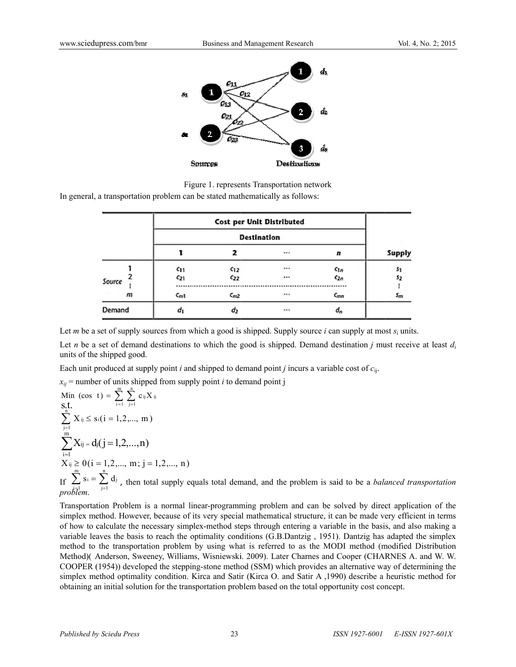

Figure 1. represents Transportation network

In general, a transportation problem can be stated mathematically as follows:

|        |                 |          |          | n        | Supply         |
|--------|-----------------|----------|----------|----------|----------------|
|        | $c_{11}$        | $c_{12}$ | $\cdots$ | $c_{1n}$ | 51             |
| Source | $c_{21}$        | $c_{22}$ |          | $c_{2n}$ | 52             |
| m      | $\epsilon_{m1}$ | $c_{m2}$ |          | $c_{mn}$ | S <sub>m</sub> |
| Demand | a               | a2       |          | $a_n$    |                |

Let *m* be a set of supply sources from which a good is shipped. Supply source *i* can supply at most  $s_i$  units.

Let *n* be a set of demand destinations to which the good is shipped. Demand destination *j* must receive at least  $d_i$ units of the shipped good.

Each unit produced at supply point *i* and shipped to demand point *j* incurs a variable cost of  $c_{ij}$ .

 $x_{ij}$  = number of units shipped from supply point *i* to demand point j

Min (cos t) = 
$$
\sum_{i=1}^{m} \sum_{j=1}^{n} c_{ij}X_{ij}
$$
  
\ns.t.  
\n $\sum_{j=1}^{n} X_{ij} \le s_i (i = 1, 2, ..., m)$   
\n $\sum_{i=1}^{m} X_{ij} = d_j (j = 1, 2, ..., n)$   
\n $X_{ij} \ge 0 (i = 1, 2, ..., m; j = 1, 2, ..., n)$   
\nIf  $\sum_{j=1}^{m} s_j = \sum_{j=1}^{n} d_j$ , then total supply e

If  $\sum_{\substack{i=1 \ p \text{roblem.}}}$  $\sum_{i=1}^{d_j}$ , then t  $\sum_{j=1}$ total supply equals total demand, and the problem is said to be a *balanced transportation* 

Transportation Problem is a normal linear-programming problem and can be solved by direct application of the simplex method. However, because of its very special mathematical structure, it can be made very efficient in terms of how to calculate the necessary simplex-method steps through entering a variable in the basis, and also making a variable leaves the basis to reach the optimality conditions (G.B.Dantzig, 1951). Dantzig has adapted the simplex method to the transportation problem by using what is referred to as the MODI method (modified Distribution Method)(Anderson, Sweeney, Williams, Wisniewski. 2009). Later Charnes and Cooper (CHARNES A. and W. W. COOPER (1954)) developed the stepping-stone method (SSM) which provides an alternative way of determining the simplex method optimality condition. Kirca and Satir (Kirca O. and Satir A, 1990) describe a heuristic method for obtaining an initial solution for the transportation problem based on the total opportunity cost concept.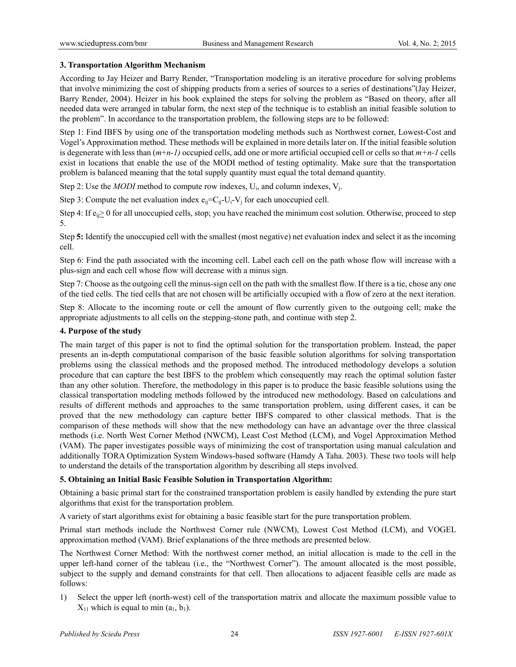### **3. Transportation Algorithm Mechanism**

According to Jay Heizer and Barry Render, "Transportation modeling is an iterative procedure for solving problems that involve minimizing the cost of shipping products from a series of sources to a series of destinations"(Jay Heizer, Barry Render, 2004). Heizer in his book explained the steps for solving the problem as "Based on theory, after all needed data were arranged in tabular form, the next step of the technique is to establish an initial feasible solution to the problem". In accordance to the transportation problem, the following steps are to be followed:

Step 1: Find IBFS by using one of the transportation modeling methods such as Northwest corner, Lowest-Cost and Vogel's Approximation method. These methods will be explained in more details later on. If the initial feasible solution is degenerate with less than (*m*+*n*-*1)* occupied cells, add one or more artificial occupied cell or cells so that *m+n-1* cells exist in locations that enable the use of the MODI method of testing optimality. Make sure that the transportation problem is balanced meaning that the total supply quantity must equal the total demand quantity.

Step 2: Use the *MODI* method to compute row indexes, U<sub>i</sub>, and column indexes, V<sub>i</sub>.

Step 3: Compute the net evaluation index  $e_{ii} = C_{ii} - U_i - V_j$  for each unoccupied cell.

Step 4: If  $e_{ii} \ge 0$  for all unoccupied cells, stop; you have reached the minimum cost solution. Otherwise, proceed to step 5.

Step **5:** Identify the unoccupied cell with the smallest (most negative) net evaluation index and select it as the incoming cell.

Step 6: Find the path associated with the incoming cell. Label each cell on the path whose flow will increase with a plus-sign and each cell whose flow will decrease with a minus sign.

Step 7: Choose as the outgoing cell the minus-sign cell on the path with the smallest flow. If there is a tie, chose any one of the tied cells. The tied cells that are not chosen will be artificially occupied with a flow of zero at the next iteration.

Step 8: Allocate to the incoming route or cell the amount of flow currently given to the outgoing cell; make the appropriate adjustments to all cells on the stepping-stone path, and continue with step 2.

### **4. Purpose of the study**

The main target of this paper is not to find the optimal solution for the transportation problem. Instead, the paper presents an in-depth computational comparison of the basic feasible solution algorithms for solving transportation problems using the classical methods and the proposed method. The introduced methodology develops a solution procedure that can capture the best IBFS to the problem which consequently may reach the optimal solution faster than any other solution. Therefore, the methodology in this paper is to produce the basic feasible solutions using the classical transportation modeling methods followed by the introduced new methodology. Based on calculations and results of different methods and approaches to the same transportation problem, using different cases, it can be proved that the new methodology can capture better IBFS compared to other classical methods. That is the comparison of these methods will show that the new methodology can have an advantage over the three classical methods (i.e. North West Corner Method (NWCM), Least Cost Method (LCM), and Vogel Approximation Method (VAM). The paper investigates possible ways of minimizing the cost of transportation using manual calculation and additionally TORA Optimization System Windows-based software (Hamdy A Taha. 2003). These two tools will help to understand the details of the transportation algorithm by describing all steps involved.

#### **5. Obtaining an Initial Basic Feasible Solution in Transportation Algorithm:**

Obtaining a basic primal start for the constrained transportation problem is easily handled by extending the pure start algorithms that exist for the transportation problem.

A variety of start algorithms exist for obtaining a basic feasible start for the pure transportation problem.

Primal start methods include the Northwest Corner rule (NWCM), Lowest Cost Method (LCM), and VOGEL approximation method (VAM). Brief explanations of the three methods are presented below.

The Northwest Corner Method: With the northwest corner method, an initial allocation is made to the cell in the upper left-hand corner of the tableau (i.e., the "Northwest Corner"). The amount allocated is the most possible, subject to the supply and demand constraints for that cell. Then allocations to adjacent feasible cells are made as follows:

1) Select the upper left (north-west) cell of the transportation matrix and allocate the maximum possible value to  $X_{11}$  which is equal to min  $(a_1, b_1)$ .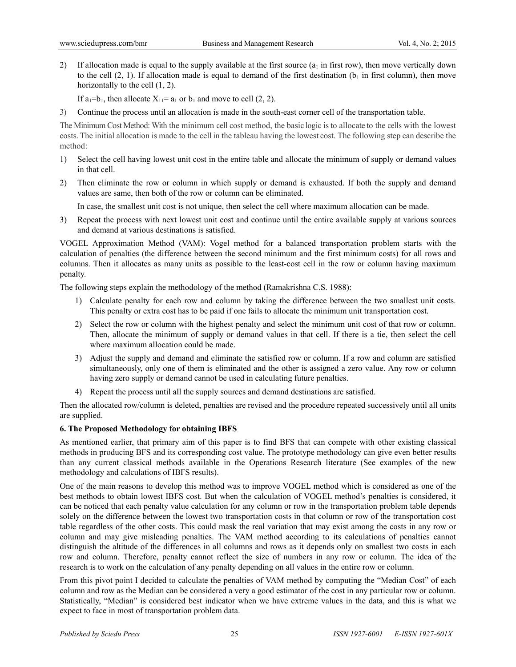2) If allocation made is equal to the supply available at the first source  $(a_1$  in first row), then move vertically down to the cell  $(2, 1)$ . If allocation made is equal to demand of the first destination (b<sub>1</sub> in first column), then move horizontally to the cell  $(1, 2)$ .

If  $a_1=b_1$ , then allocate  $X_{11}=a_1$  or  $b_1$  and move to cell (2, 2).

3) Continue the process until an allocation is made in the south-east corner cell of the transportation table.

The Minimum Cost Method: With the minimum cell cost method, the basic logic is to allocate to the cells with the lowest costs. The initial allocation is made to the cell in the tableau having the lowest cost. The following step can describe the method:

- 1) Select the cell having lowest unit cost in the entire table and allocate the minimum of supply or demand values in that cell.
- 2) Then eliminate the row or column in which supply or demand is exhausted. If both the supply and demand values are same, then both of the row or column can be eliminated.

In case, the smallest unit cost is not unique, then select the cell where maximum allocation can be made.

3) Repeat the process with next lowest unit cost and continue until the entire available supply at various sources and demand at various destinations is satisfied.

VOGEL Approximation Method (VAM): Vogel method for a balanced transportation problem starts with the calculation of penalties (the difference between the second minimum and the first minimum costs) for all rows and columns. Then it allocates as many units as possible to the least-cost cell in the row or column having maximum penalty.

The following steps explain the methodology of the method (Ramakrishna C.S. 1988):

- 1) Calculate penalty for each row and column by taking the difference between the two smallest unit costs. This penalty or extra cost has to be paid if one fails to allocate the minimum unit transportation cost.
- 2) Select the row or column with the highest penalty and select the minimum unit cost of that row or column. Then, allocate the minimum of supply or demand values in that cell. If there is a tie, then select the cell where maximum allocation could be made.
- 3) Adjust the supply and demand and eliminate the satisfied row or column. If a row and column are satisfied simultaneously, only one of them is eliminated and the other is assigned a zero value. Any row or column having zero supply or demand cannot be used in calculating future penalties.
- 4) Repeat the process until all the supply sources and demand destinations are satisfied.

Then the allocated row/column is deleted, penalties are revised and the procedure repeated successively until all units are supplied.

#### **6. The Proposed Methodology for obtaining IBFS**

As mentioned earlier, that primary aim of this paper is to find BFS that can compete with other existing classical methods in producing BFS and its corresponding cost value. The prototype methodology can give even better results than any current classical methods available in the Operations Research literature (See examples of the new methodology and calculations of IBFS results).

One of the main reasons to develop this method was to improve VOGEL method which is considered as one of the best methods to obtain lowest IBFS cost. But when the calculation of VOGEL method's penalties is considered, it can be noticed that each penalty value calculation for any column or row in the transportation problem table depends solely on the difference between the lowest two transportation costs in that column or row of the transportation cost table regardless of the other costs. This could mask the real variation that may exist among the costs in any row or column and may give misleading penalties. The VAM method according to its calculations of penalties cannot distinguish the altitude of the differences in all columns and rows as it depends only on smallest two costs in each row and column. Therefore, penalty cannot reflect the size of numbers in any row or column. The idea of the research is to work on the calculation of any penalty depending on all values in the entire row or column.

From this pivot point I decided to calculate the penalties of VAM method by computing the "Median Cost" of each column and row as the Median can be considered a very a good estimator of the cost in any particular row or column. Statistically, "Median" is considered best indicator when we have extreme values in the data, and this is what we expect to face in most of transportation problem data.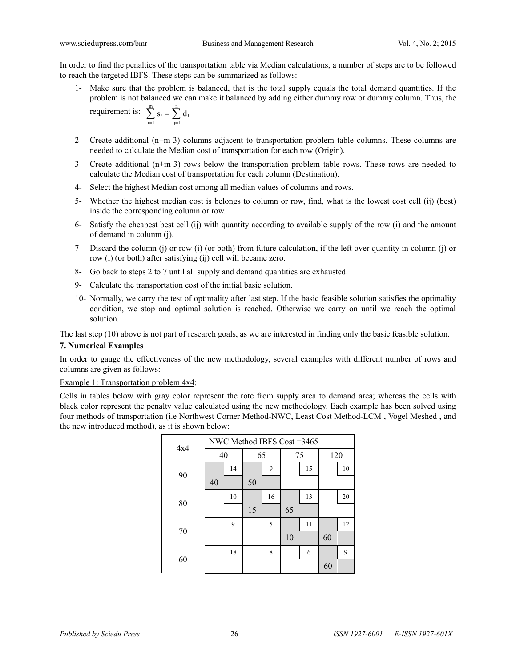In order to find the penalties of the transportation table via Median calculations, a number of steps are to be followed to reach the targeted IBFS. These steps can be summarized as follows:

1- Make sure that the problem is balanced, that is the total supply equals the total demand quantities. If the problem is not balanced we can make it balanced by adding either dummy row or dummy column. Thus, the

$$
requirement is: \sum_{i=1}^{m} s_i = \sum_{j=1}^{n} d_j
$$

- 2- Create additional  $(n+m-3)$  columns adjacent to transportation problem table columns. These columns are needed to calculate the Median cost of transportation for each row (Origin).
- 3- Create additional (n+m-3) rows below the transportation problem table rows. These rows are needed to calculate the Median cost of transportation for each column (Destination).
- 4- Select the highest Median cost among all median values of columns and rows.
- 5- Whether the highest median cost is belongs to column or row, find, what is the lowest cost cell (ij) (best) inside the corresponding column or row.
- 6- Satisfy the cheapest best cell (ij) with quantity according to available supply of the row (i) and the amount of demand in column (j).
- 7- Discard the column (j) or row (i) (or both) from future calculation, if the left over quantity in column (j) or row (i) (or both) after satisfying (ij) cell will became zero.
- 8- Go back to steps 2 to 7 until all supply and demand quantities are exhausted.
- 9- Calculate the transportation cost of the initial basic solution.
- 10- Normally, we carry the test of optimality after last step. If the basic feasible solution satisfies the optimality condition, we stop and optimal solution is reached. Otherwise we carry on until we reach the optimal solution.

The last step (10) above is not part of research goals, as we are interested in finding only the basic feasible solution.

#### **7. Numerical Examples**

In order to gauge the effectiveness of the new methodology, several examples with different number of rows and columns are given as follows:

#### Example 1: Transportation problem 4x4:

Cells in tables below with gray color represent the rote from supply area to demand area; whereas the cells with black color represent the penalty value calculated using the new methodology. Each example has been solved using four methods of transportation (i.e Northwest Corner Method-NWC, Least Cost Method-LCM , Vogel Meshed , and the new introduced method), as it is shown below:

| 4x4 |    |    | NWC Method IBFS Cost = 3465 |    |    |    |     |    |  |
|-----|----|----|-----------------------------|----|----|----|-----|----|--|
|     | 40 |    | 65                          |    | 75 |    | 120 |    |  |
|     |    | 14 |                             | 9  |    | 15 |     | 10 |  |
| 90  | 40 |    | 50                          |    |    |    |     |    |  |
| 80  |    | 10 |                             | 16 |    | 13 |     | 20 |  |
|     |    |    | 15                          |    | 65 |    |     |    |  |
|     |    | 9  |                             | 5  |    | 11 |     | 12 |  |
| 70  |    |    |                             |    | 10 |    | 60  |    |  |
|     |    | 18 |                             | 8  |    | 6  |     | 9  |  |
| 60  |    |    |                             |    |    |    | 60  |    |  |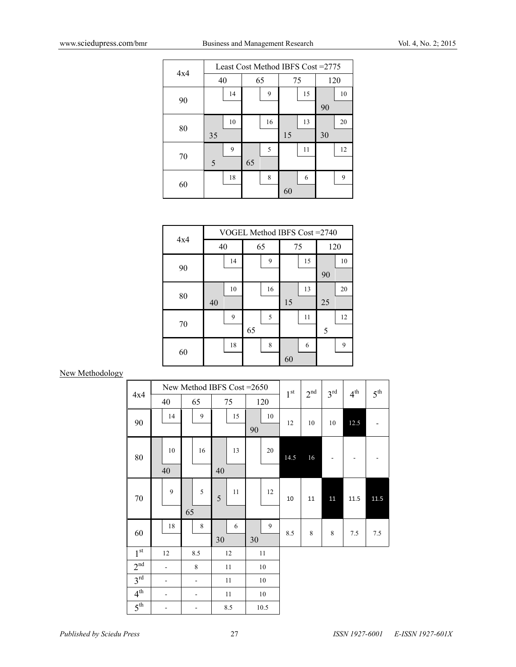| 4x4 |    |    |    |    |    |    | Least Cost Method IBFS Cost = 2775 |     |
|-----|----|----|----|----|----|----|------------------------------------|-----|
|     | 40 |    | 65 |    | 75 |    |                                    | 120 |
| 90  |    | 14 |    | 9  |    | 15 |                                    | 10  |
|     |    |    |    |    |    |    | 90                                 |     |
|     |    | 10 |    | 16 |    | 13 |                                    | 20  |
| 80  | 35 |    |    |    | 15 |    | 30                                 |     |
|     |    | 9  |    | 5  |    | 11 |                                    | 12  |
| 70  | 5  |    | 65 |    |    |    |                                    |     |
|     |    | 18 |    | 8  |    | 6  |                                    | 9   |
| 60  |    |    |    |    | 60 |    |                                    |     |

| 4x4 |    |    |    | VOGEL Method IBFS Cost = 2740 |    |    |     |    |  |  |
|-----|----|----|----|-------------------------------|----|----|-----|----|--|--|
|     | 40 |    | 65 |                               | 75 |    | 120 |    |  |  |
| 90  |    | 14 |    | 9                             |    | 15 |     | 10 |  |  |
|     |    |    |    |                               |    |    | 90  |    |  |  |
| 80  |    | 10 |    | 16                            |    | 13 |     | 20 |  |  |
|     | 40 |    |    |                               | 15 |    | 25  |    |  |  |
| 70  |    | 9  |    | 5                             |    | 11 |     | 12 |  |  |
|     |    |    | 65 |                               |    |    | 5   |    |  |  |
|     |    | 18 |    | 8                             |    | 6  |     | 9  |  |  |
| 60  |    |    |    |                               | 60 |    |     |    |  |  |

## New Methodology

|                 |                |                          | New Method IBFS Cost = 2650 |          | 1 <sup>st</sup> | 2 <sup>nd</sup> | 3 <sup>rd</sup> | 4 <sup>th</sup> | 5 <sup>th</sup> |
|-----------------|----------------|--------------------------|-----------------------------|----------|-----------------|-----------------|-----------------|-----------------|-----------------|
| 4x4             | 40             | 65                       | 75                          | 120      |                 |                 |                 |                 |                 |
| 90              | 14             | 9                        | $15\,$                      | 10       |                 | 10              | 10              | 12.5            |                 |
|                 |                |                          |                             | 90       | 12              |                 |                 |                 |                 |
|                 | 10             | 16                       | 13                          | $20\,$   |                 |                 |                 |                 |                 |
| 80              |                |                          |                             |          | 14.5            | $16\,$          | -               |                 |                 |
|                 | 40             |                          | 40                          |          |                 |                 |                 |                 |                 |
|                 | 9              | 5                        | 11                          | 12       |                 |                 |                 |                 |                 |
| 70              |                |                          | 5                           |          | 10              | 11              | 11              | 11.5            | 11.5            |
|                 |                | 65                       |                             |          |                 |                 |                 |                 |                 |
| 60              | $18\,$         | $\,$ 8 $\,$              | 6                           | 9        | 8.5             | $\,8\,$         | 8               | 7.5             | $7.5\,$         |
|                 |                |                          | 30                          | 30       |                 |                 |                 |                 |                 |
| 1 <sup>st</sup> | 12             | 8.5                      | 12                          | $11\,$   |                 |                 |                 |                 |                 |
| 2 <sup>nd</sup> | $\overline{a}$ | 8                        | 11                          | 10       |                 |                 |                 |                 |                 |
| 3 <sup>rd</sup> | L,             | $\overline{\phantom{0}}$ | 11                          | 10       |                 |                 |                 |                 |                 |
| 4 <sup>th</sup> | -              | -                        | $11\,$                      | $10\,$   |                 |                 |                 |                 |                 |
| $5^{\text{th}}$ |                |                          | 8.5                         | $10.5\,$ |                 |                 |                 |                 |                 |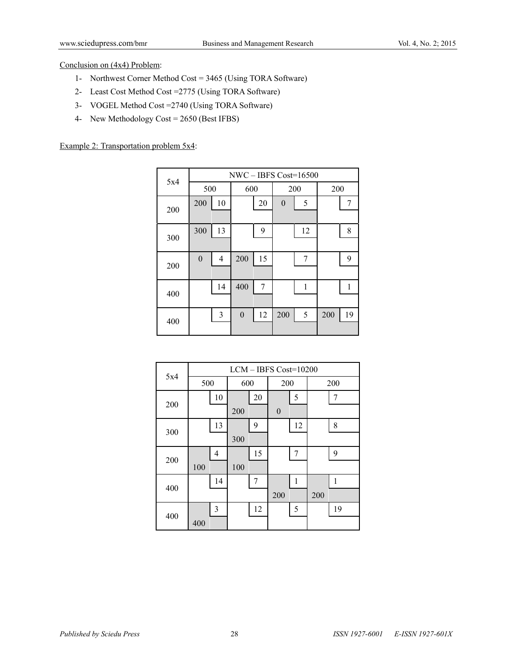### Conclusion on (4x4) Problem:

- 1- Northwest Corner Method Cost = 3465 (Using TORA Software)
- 2- Least Cost Method Cost =2775 (Using TORA Software)
- 3- VOGEL Method Cost =2740 (Using TORA Software)
- 4- New Methodology Cost = 2650 (Best IFBS)

Example 2: Transportation problem 5x4:

|     |                  |    | NWC-IBFS Cost=16500 |    |                |    |     |    |
|-----|------------------|----|---------------------|----|----------------|----|-----|----|
| 5x4 | 500              |    | 600                 |    | 200            |    | 200 |    |
| 200 | 200              | 10 |                     | 20 | $\overline{0}$ | 5  |     | 7  |
|     |                  |    |                     |    |                |    |     |    |
|     | 300              | 13 |                     | 9  |                | 12 |     | 8  |
| 300 |                  |    |                     |    |                |    |     |    |
|     | $\boldsymbol{0}$ | 4  | 200                 | 15 |                | 7  |     | 9  |
| 200 |                  |    |                     |    |                |    |     |    |
|     |                  | 14 | 400                 | 7  |                | 1  |     | 1  |
| 400 |                  |    |                     |    |                |    |     |    |
|     |                  | 3  | $\theta$            | 12 | 200            | 5  | 200 | 19 |
| 400 |                  |    |                     |    |                |    |     |    |

| 5x4 |     |                |     | $LCM - IBFS Cost = 10200$ |          |              |     |              |  |  |
|-----|-----|----------------|-----|---------------------------|----------|--------------|-----|--------------|--|--|
|     | 500 |                |     | 600                       |          | 200          |     | 200          |  |  |
|     |     | $10\,$         |     | 20                        |          | 5            |     | 7            |  |  |
| 200 |     |                | 200 |                           | $\theta$ |              |     |              |  |  |
| 300 |     | 13             |     | 9                         |          | 12           |     | 8            |  |  |
|     |     |                | 300 |                           |          |              |     |              |  |  |
|     |     | 4              |     | 15                        |          | 7            |     | 9            |  |  |
| 200 | 100 |                | 100 |                           |          |              |     |              |  |  |
| 400 |     | 14             |     | 7                         |          | $\mathbf{1}$ |     | $\mathbf{1}$ |  |  |
|     |     |                |     |                           | 200      |              | 200 |              |  |  |
| 400 |     | $\mathfrak{Z}$ |     | 12                        |          | 5            |     | 19           |  |  |
|     | 400 |                |     |                           |          |              |     |              |  |  |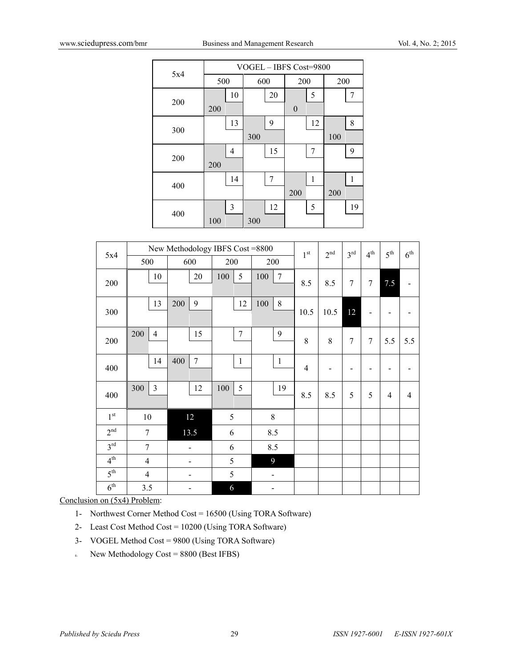| 5x4 |     |                | VOGEL - IBFS Cost=9800 |        |          |                |     |                |
|-----|-----|----------------|------------------------|--------|----------|----------------|-----|----------------|
|     | 500 |                | 600                    |        | 200      |                | 200 |                |
|     |     | 10             |                        | $20\,$ |          | $\mathfrak{S}$ |     | $\overline{7}$ |
| 200 | 200 |                |                        |        | $\theta$ |                |     |                |
| 300 |     | 13             |                        | 9      |          | 12             |     | 8              |
|     |     |                | 300                    |        |          |                | 100 |                |
| 200 |     | 4              |                        | 15     |          | 7              |     | 9              |
|     | 200 |                |                        |        |          |                |     |                |
| 400 |     | 14             |                        | 7      |          | 1              |     |                |
|     |     |                |                        |        | 200      |                | 200 |                |
| 400 |     | $\mathfrak{Z}$ |                        | 12     |          | $\mathfrak{H}$ |     | 19             |
|     | 100 |                | 300                    |        |          |                |     |                |

|                 |                       | New Methodology IBFS Cost =8800 |                |                           | 1 <sup>st</sup> | 2 <sup>nd</sup> | 3 <sup>rd</sup> | 4 <sup>th</sup> | 5 <sup>th</sup>          | $6^{\text{th}}$ |
|-----------------|-----------------------|---------------------------------|----------------|---------------------------|-----------------|-----------------|-----------------|-----------------|--------------------------|-----------------|
| 5x4             | 500                   | 600                             | 200            | 200                       |                 |                 |                 |                 |                          |                 |
| 200             | 10                    | 20                              | 5<br>100       | $100\,$<br>$\overline{7}$ | 8.5             | 8.5             | 7               | 7               | 7.5                      |                 |
| 300             | 13                    | 200<br>9                        | 12             | 100<br>$\,$ 8 $\,$        | 10.5            | 10.5            | 12              |                 |                          |                 |
| 200             | 200<br>$\overline{4}$ | 15                              | $\overline{7}$ | 9                         | 8               | $\,8\,$         | $\tau$          | $\overline{7}$  | 5.5                      | 5.5             |
| 400             | 14                    | 400<br>$\boldsymbol{7}$         | $\mathbf{1}$   | $\mathbf{1}$              | $\overline{4}$  |                 |                 |                 | $\overline{\phantom{0}}$ |                 |
| 400             | $\mathfrak{Z}$<br>300 | 12                              | 5<br>100       | 19                        | 8.5             | 8.5             | 5               | 5               | $\overline{4}$           | 4               |
| $1^{\rm st}$    | 10                    | 12                              | 5              | $\,8\,$                   |                 |                 |                 |                 |                          |                 |
| 2 <sup>nd</sup> | 7                     | 13.5                            | 6              | 8.5                       |                 |                 |                 |                 |                          |                 |
| $3^{\text{rd}}$ | $\overline{7}$        |                                 | 6              | 8.5                       |                 |                 |                 |                 |                          |                 |
| 4 <sup>th</sup> | $\overline{4}$        |                                 | 5              | 9                         |                 |                 |                 |                 |                          |                 |
| $5^{\text{th}}$ | $\overline{4}$        |                                 | 5              | $\blacksquare$            |                 |                 |                 |                 |                          |                 |
| $6^{\text{th}}$ | 3.5                   |                                 | 6              |                           |                 |                 |                 |                 |                          |                 |

Conclusion on (5x4) Problem:

1- Northwest Corner Method Cost = 16500 (Using TORA Software)

2- Least Cost Method Cost = 10200 (Using TORA Software)

3- VOGEL Method Cost = 9800 (Using TORA Software)

 $\frac{4}{100}$  New Methodology Cost = 8800 (Best IFBS)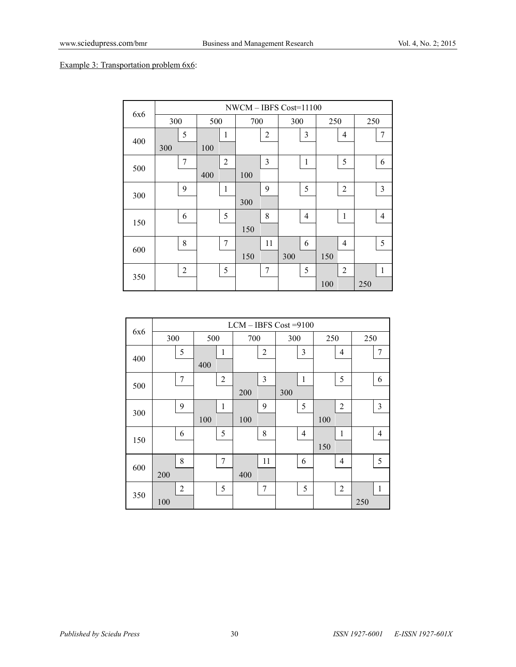### Example 3: Transportation problem 6x6:

| 6x6 |                |                | NWCM-IBFS Cost=11100 |                |                |                |  |
|-----|----------------|----------------|----------------------|----------------|----------------|----------------|--|
|     | 300            | 500            | 700                  | 300            | 250            | 250            |  |
| 400 | 5              | $\mathbf{1}$   | $\overline{2}$       | $\mathfrak{Z}$ | $\overline{4}$ | 7              |  |
|     | 300            | 100            |                      |                |                |                |  |
| 500 | 7              | $\overline{2}$ | 3                    | $\mathbf{1}$   | 5              | 6              |  |
|     |                | 400            | 100                  |                |                |                |  |
| 300 | 9              | 1              | 9                    | 5              | $\overline{2}$ | 3              |  |
|     |                |                | 300                  |                |                |                |  |
| 150 | 6              | 5              | 8                    | 4              | $\mathbf{1}$   | $\overline{4}$ |  |
|     |                |                | 150                  |                |                |                |  |
| 600 | 8              | 7              | 11                   | 6              | 4              | 5              |  |
|     |                |                | 150                  | 300            | 150            |                |  |
| 350 | $\overline{2}$ | 5              | 7                    | 5              | $\overline{2}$ | $\mathbf{1}$   |  |
|     |                |                |                      |                | 100            | 250            |  |

| 6x6 |                | $LCM - IBFS Cost = 9100$ |                |                |                |                |  |  |  |
|-----|----------------|--------------------------|----------------|----------------|----------------|----------------|--|--|--|
|     | 300            | 500                      | 700            | 300            | 250            | 250            |  |  |  |
|     | 5              | $\mathbf{1}$             | $\overline{c}$ | $\mathfrak{Z}$ | $\overline{4}$ | 7              |  |  |  |
| 400 |                | 400                      |                |                |                |                |  |  |  |
| 500 | 7              | $\overline{2}$           | 3              | $\mathbf{1}$   | 5              | 6              |  |  |  |
|     |                |                          | 200            | 300            |                |                |  |  |  |
| 300 | 9              | $\mathbf{1}$             | 9              | 5              | $\overline{2}$ | 3              |  |  |  |
|     |                | 100                      | 100            |                | 100            |                |  |  |  |
| 150 | 6              | 5                        | $\,$ 8 $\,$    | 4              | $\mathbf{1}$   | $\overline{4}$ |  |  |  |
|     |                |                          |                |                | 150            |                |  |  |  |
|     | 8              | 7                        | 11             | 6              | $\overline{4}$ | 5              |  |  |  |
| 600 | 200            |                          | 400            |                |                |                |  |  |  |
|     | $\overline{2}$ | 5                        | 7              | 5              | $\overline{2}$ | $\mathbf{1}$   |  |  |  |
| 350 | 100            |                          |                |                |                | 250            |  |  |  |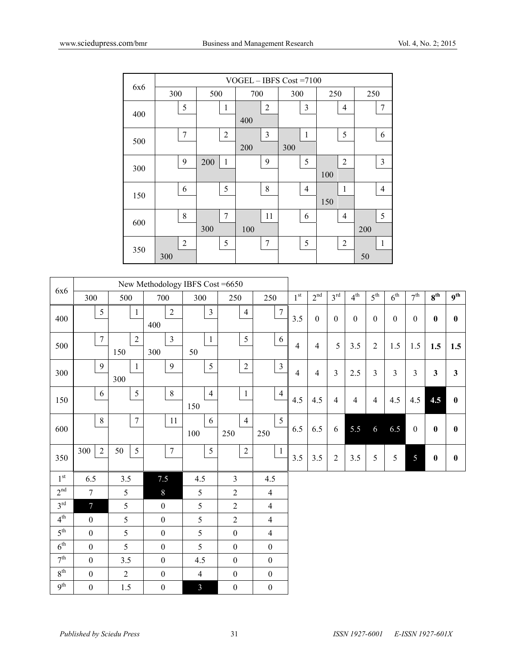| 6x6 | VOGEL - IBFS Cost = 7100 |                     |                |              |                |                |  |  |  |  |  |  |  |
|-----|--------------------------|---------------------|----------------|--------------|----------------|----------------|--|--|--|--|--|--|--|
|     | 300                      | 500                 | 700            | 300          | 250            | 250            |  |  |  |  |  |  |  |
| 400 | 5                        | $\,1\,$             | $\overline{2}$ | 3            | 4              | $\tau$         |  |  |  |  |  |  |  |
|     |                          |                     | 400            |              |                |                |  |  |  |  |  |  |  |
| 500 | 7                        | $\overline{2}$      | $\mathfrak{Z}$ | $\mathbf{1}$ | $\mathfrak s$  | 6              |  |  |  |  |  |  |  |
|     |                          |                     | 200            | 300          |                |                |  |  |  |  |  |  |  |
|     | 9                        | $\mathbf{1}$<br>200 | 9              | 5            | $\overline{2}$ | $\mathfrak{Z}$ |  |  |  |  |  |  |  |
| 300 |                          |                     |                |              | 100            |                |  |  |  |  |  |  |  |
| 150 | 6                        | 5                   | 8              | 4            | 1              | 4              |  |  |  |  |  |  |  |
|     |                          |                     |                |              | 150            |                |  |  |  |  |  |  |  |
| 600 | 8                        | 7                   | 11             | 6            | 4              | 5              |  |  |  |  |  |  |  |
|     |                          | 300                 | 100            |              |                | 200            |  |  |  |  |  |  |  |
|     | $\overline{2}$           | 5                   | 7              | 5            | $\overline{2}$ | $\mathbf{1}$   |  |  |  |  |  |  |  |
| 350 | 300                      |                     |                |              |                | 50             |  |  |  |  |  |  |  |

|                                    |                                      |                       | New Methodology IBFS Cost = 6650     |                       |                                      |                                      |              |                  |                 |                  |                  |                  |                  |                         |                 |
|------------------------------------|--------------------------------------|-----------------------|--------------------------------------|-----------------------|--------------------------------------|--------------------------------------|--------------|------------------|-----------------|------------------|------------------|------------------|------------------|-------------------------|-----------------|
| 6x6                                | 300                                  | 500                   | 700                                  | 300                   | 250                                  | 250                                  | $1^{\rm st}$ | 2 <sup>nd</sup>  | $3^{\text{rd}}$ | 4 <sup>th</sup>  | $5^{\text{th}}$  | $6^{\text{th}}$  | 7 <sup>th</sup>  | $8^{\text{th}}$         | 9 <sup>th</sup> |
| 400                                | 5                                    | 1                     | $\overline{2}$<br>400                | $\mathfrak{Z}$        | $\overline{4}$                       | $\boldsymbol{7}$                     | 3.5          | $\boldsymbol{0}$ | $\mathbf{0}$    | $\boldsymbol{0}$ | $\boldsymbol{0}$ | $\boldsymbol{0}$ | $\boldsymbol{0}$ | $\bf{0}$                | $\pmb{0}$       |
| 500                                | $\overline{7}$                       | $\sqrt{2}$<br>150     | $\mathfrak{Z}$<br>300                | $\mathbf{1}$<br>50    | 5                                    | $\sqrt{6}$                           | 4            | $\overline{4}$   | 5               | 3.5              | $\overline{2}$   | 1.5              | 1.5              | 1.5                     | 1.5             |
| 300                                | 9                                    | $\mathbf{1}$<br>300   | 9                                    | 5                     | $\sqrt{2}$                           | $\mathfrak{Z}$                       | 4            | $\overline{4}$   | 3               | 2.5              | 3                | $\overline{3}$   | 3                | $\overline{\mathbf{3}}$ | $\mathbf{3}$    |
| 150                                | $\sqrt{6}$                           | $\sqrt{5}$            | $8\,$                                | $\overline{4}$<br>150 | $\,1$                                | $\overline{4}$                       | 4.5          | 4.5              | $\overline{4}$  | $\overline{4}$   | $\overline{4}$   | 4.5              | 4.5              | 4.5                     | $\bf{0}$        |
| 600                                | $\,8\,$                              | $\boldsymbol{7}$      | 11                                   | 6<br>100              | $\overline{4}$<br>250                | 5<br>250                             | 6.5          | 6.5              | 6               | 5.5              | 6                | 6.5              | $\boldsymbol{0}$ | $\bf{0}$                | $\bf{0}$        |
| 350                                | 300<br>$\overline{2}$                | 50<br>$\sqrt{5}$      | $\tau$                               | $\sqrt{5}$            | $\sqrt{2}$                           | $\mathbf{1}$                         | 3.5          | 3.5              | $\overline{2}$  | 3.5              | 5                | 5                | 5                | $\bf{0}$                | $\bf{0}$        |
| 1 <sup>st</sup>                    | 6.5                                  | 3.5                   | 7.5                                  | 4.5                   | 3                                    | 4.5                                  |              |                  |                 |                  |                  |                  |                  |                         |                 |
| 2 <sup>nd</sup>                    | $\tau$                               | 5                     | $\,8\,$                              | 5                     | $\overline{2}$                       | $\overline{4}$                       |              |                  |                 |                  |                  |                  |                  |                         |                 |
| $3^{\text{rd}}$                    | $\overline{7}$                       | 5                     | $\boldsymbol{0}$                     | 5                     | $\overline{2}$                       | $\overline{4}$                       |              |                  |                 |                  |                  |                  |                  |                         |                 |
| $4^{\text{th}}$                    | $\boldsymbol{0}$                     | 5                     | $\boldsymbol{0}$                     | 5                     | $\overline{2}$                       | $\overline{4}$                       |              |                  |                 |                  |                  |                  |                  |                         |                 |
| $5^{\text{th}}$                    | $\boldsymbol{0}$                     | 5                     | $\boldsymbol{0}$                     | 5                     | $\boldsymbol{0}$                     | $\overline{4}$                       |              |                  |                 |                  |                  |                  |                  |                         |                 |
| $6^{\text{th}}$<br>7 <sup>th</sup> | $\boldsymbol{0}$<br>$\boldsymbol{0}$ | 5                     | $\boldsymbol{0}$                     | 5                     | $\boldsymbol{0}$<br>$\boldsymbol{0}$ | $\boldsymbol{0}$<br>$\boldsymbol{0}$ |              |                  |                 |                  |                  |                  |                  |                         |                 |
| $8^{\rm th}$                       | $\boldsymbol{0}$                     | 3.5<br>$\overline{2}$ | $\boldsymbol{0}$<br>$\boldsymbol{0}$ | 4.5<br>$\overline{4}$ | $\boldsymbol{0}$                     | $\boldsymbol{0}$                     |              |                  |                 |                  |                  |                  |                  |                         |                 |
| 9 <sup>th</sup>                    | $\boldsymbol{0}$                     | 1.5                   | $\boldsymbol{0}$                     | $\overline{3}$        | $\boldsymbol{0}$                     | $\boldsymbol{0}$                     |              |                  |                 |                  |                  |                  |                  |                         |                 |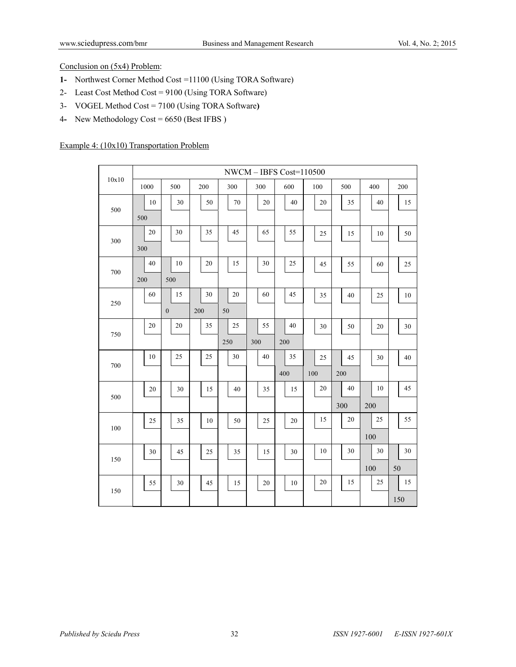Conclusion on (5x4) Problem:

- **1-** Northwest Corner Method Cost =11100 (Using TORA Software)
- 2- Least Cost Method Cost = 9100 (Using TORA Software)
- 3- VOGEL Method Cost = 7100 (Using TORA Software**)**
- 4New Methodology Cost = 6650 (Best IFBS )

Example 4: (10x10) Transportation Problem

|       |      | NWCM-IBFS Cost=110500 |     |     |     |     |     |     |     |        |  |  |
|-------|------|-----------------------|-----|-----|-----|-----|-----|-----|-----|--------|--|--|
| 10x10 | 1000 | 500                   | 200 | 300 | 300 | 600 | 100 | 500 | 400 | 200    |  |  |
| 500   | 10   | 30                    | 50  | 70  | 20  | 40  | 20  | 35  | 40  | 15     |  |  |
|       | 500  |                       |     |     |     |     |     |     |     |        |  |  |
| 300   | 20   | 30                    | 35  | 45  | 65  | 55  | 25  | 15  | 10  | $50\,$ |  |  |
|       | 300  |                       |     |     |     |     |     |     |     |        |  |  |
| 700   | 40   | 10                    | 20  | 15  | 30  | 25  | 45  | 55  | 60  | 25     |  |  |
|       | 200  | 500                   |     |     |     |     |     |     |     |        |  |  |
| 250   | 60   | 15                    | 30  | 20  | 60  | 45  | 35  | 40  | 25  | 10     |  |  |
|       |      | $\boldsymbol{0}$      | 200 | 50  |     |     |     |     |     |        |  |  |
| 750   | 20   | 20                    | 35  | 25  | 55  | 40  | 30  | 50  | 20  | 30     |  |  |
|       |      |                       |     | 250 | 300 | 200 |     |     |     |        |  |  |
| 700   | 10   | 25                    | 25  | 30  | 40  | 35  | 25  | 45  | 30  | 40     |  |  |
|       |      |                       |     |     |     | 400 | 100 | 200 |     |        |  |  |
| 500   | 20   | 30                    | 15  | 40  | 35  | 15  | 20  | 40  | 10  | 45     |  |  |
|       |      |                       |     |     |     |     |     | 300 | 200 |        |  |  |
|       | 25   | 35                    | 10  | 50  | 25  | 20  | 15  | 20  | 25  | 55     |  |  |
| 100   |      |                       |     |     |     |     |     |     | 100 |        |  |  |
|       | 30   | 45                    | 25  | 35  | 15  | 30  | 10  | 30  | 30  | 30     |  |  |
| 150   |      |                       |     |     |     |     |     |     | 100 | 50     |  |  |
|       | 55   | 30                    | 45  | 15  | 20  | 10  | 20  | 15  | 25  | 15     |  |  |
| 150   |      |                       |     |     |     |     |     |     |     | 150    |  |  |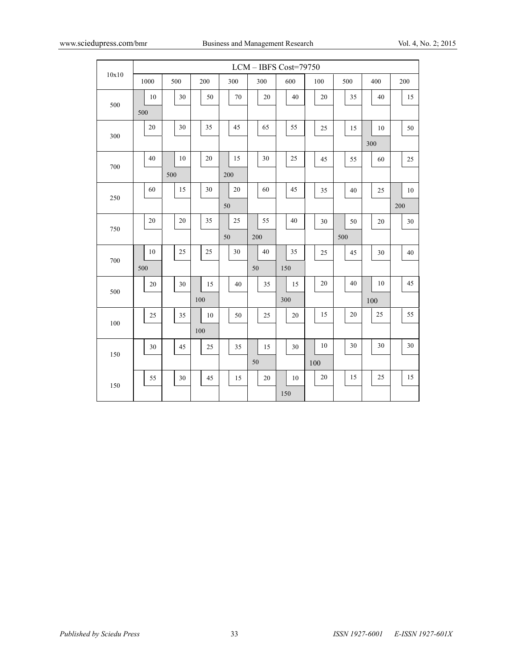|       |      |     |     |     | LCM - IBFS Cost=79750 |     |     |     |     |     |
|-------|------|-----|-----|-----|-----------------------|-----|-----|-----|-----|-----|
| 10x10 | 1000 | 500 | 200 | 300 | 300                   | 600 | 100 | 500 | 400 | 200 |
|       | 10   | 30  | 50  | 70  | 20                    | 40  | 20  | 35  | 40  | 15  |
| 500   | 500  |     |     |     |                       |     |     |     |     |     |
|       | 20   | 30  | 35  | 45  | 65                    | 55  | 25  | 15  | 10  | 50  |
| 300   |      |     |     |     |                       |     |     |     | 300 |     |
|       | 40   | 10  | 20  | 15  | 30                    | 25  | 45  | 55  | 60  | 25  |
| 700   |      | 500 |     | 200 |                       |     |     |     |     |     |
| 250   | 60   | 15  | 30  | 20  | 60                    | 45  | 35  | 40  | 25  | 10  |
|       |      |     |     | 50  |                       |     |     |     |     | 200 |
| 750   | 20   | 20  | 35  | 25  | 55                    | 40  | 30  | 50  | 20  | 30  |
|       |      |     |     | 50  | 200                   |     |     | 500 |     |     |
| 700   | 10   | 25  | 25  | 30  | 40                    | 35  | 25  | 45  | 30  | 40  |
|       | 500  |     |     |     | 50                    | 150 |     |     |     |     |
|       | 20   | 30  | 15  | 40  | 35                    | 15  | 20  | 40  | 10  | 45  |
| 500   |      |     | 100 |     |                       | 300 |     |     | 100 |     |
| 100   | 25   | 35  | 10  | 50  | 25                    | 20  | 15  | 20  | 25  | 55  |
|       |      |     | 100 |     |                       |     |     |     |     |     |
|       | 30   | 45  | 25  | 35  | 15                    | 30  | 10  | 30  | 30  | 30  |
| 150   |      |     |     |     | 50                    |     | 100 |     |     |     |
|       | 55   | 30  | 45  | 15  | 20                    | 10  | 20  | 15  | 25  | 15  |
| 150   |      |     |     |     |                       | 150 |     |     |     |     |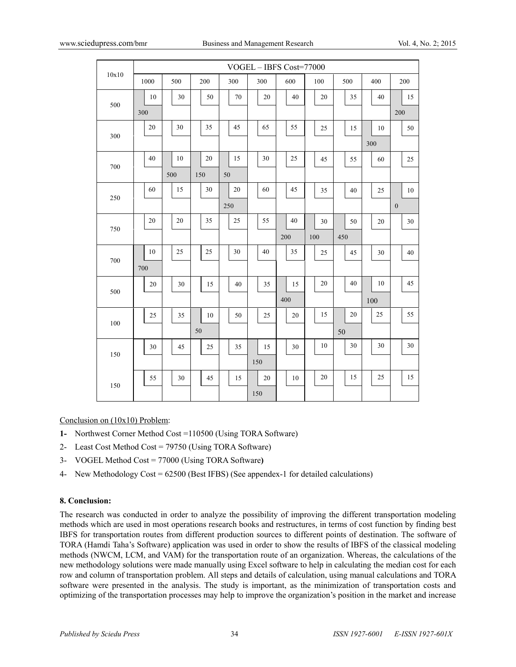|         | VOGEL-IBFS Cost=77000 |     |     |     |     |     |     |     |     |                  |
|---------|-----------------------|-----|-----|-----|-----|-----|-----|-----|-----|------------------|
| 10x10   | 1000                  | 500 | 200 | 300 | 300 | 600 | 100 | 500 | 400 | 200              |
|         | 10                    | 30  | 50  | 70  | 20  | 40  | 20  | 35  | 40  | 15               |
| 500     | 300                   |     |     |     |     |     |     |     |     | 200              |
| 300     | 20                    | 30  | 35  | 45  | 65  | 55  | 25  | 15  | 10  | 50               |
|         |                       |     |     |     |     |     |     |     | 300 |                  |
| 700     | 40                    | 10  | 20  | 15  | 30  | 25  | 45  | 55  | 60  | 25               |
|         |                       | 500 | 150 | 50  |     |     |     |     |     |                  |
| 250     | 60                    | 15  | 30  | 20  | 60  | 45  | 35  | 40  | 25  | 10               |
|         |                       |     |     | 250 |     |     |     |     |     | $\boldsymbol{0}$ |
| 750     | 20                    | 20  | 35  | 25  | 55  | 40  | 30  | 50  | 20  | 30               |
|         |                       |     |     |     |     | 200 | 100 | 450 |     |                  |
| 700     | 10                    | 25  | 25  | 30  | 40  | 35  | 25  | 45  | 30  | 40               |
|         | $700\,$               |     |     |     |     |     |     |     |     |                  |
| 500     | 20                    | 30  | 15  | 40  | 35  | 15  | 20  | 40  | 10  | 45               |
|         |                       |     |     |     |     | 400 |     |     | 100 |                  |
| $100\,$ | 25                    | 35  | 10  | 50  | 25  | 20  | 15  | 20  | 25  | 55               |
|         |                       |     | 50  |     |     |     |     | 50  |     |                  |
|         | 30                    | 45  | 25  | 35  | 15  | 30  | 10  | 30  | 30  | 30               |
| 150     |                       |     |     |     | 150 |     |     |     |     |                  |
|         | 55                    | 30  | 45  | 15  | 20  | 10  | 20  | 15  | 25  | 15               |
| 150     |                       |     |     |     | 150 |     |     |     |     |                  |

Conclusion on (10x10) Problem:

- **1-** Northwest Corner Method Cost =110500 (Using TORA Software)
- 2- Least Cost Method Cost = 79750 (Using TORA Software)
- 3- VOGEL Method Cost = 77000 (Using TORA Software**)**
- 4- New Methodology Cost = 62500 (Best IFBS) (See appendex-1 for detailed calculations)

#### **8. Conclusion:**

The research was conducted in order to analyze the possibility of improving the different transportation modeling methods which are used in most operations research books and restructures, in terms of cost function by finding best IBFS for transportation routes from different production sources to different points of destination. The software of TORA (Hamdi Taha's Software) application was used in order to show the results of IBFS of the classical modeling methods (NWCM, LCM, and VAM) for the transportation route of an organization. Whereas, the calculations of the new methodology solutions were made manually using Excel software to help in calculating the median cost for each row and column of transportation problem. All steps and details of calculation, using manual calculations and TORA software were presented in the analysis. The study is important, as the minimization of transportation costs and optimizing of the transportation processes may help to improve the organization's position in the market and increase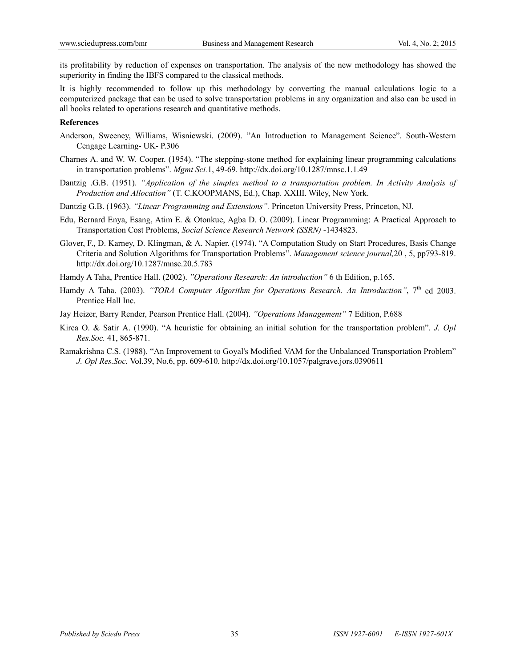its profitability by reduction of expenses on transportation. The analysis of the new methodology has showed the superiority in finding the IBFS compared to the classical methods.

It is highly recommended to follow up this methodology by converting the manual calculations logic to a computerized package that can be used to solve transportation problems in any organization and also can be used in all books related to operations research and quantitative methods.

#### **References**

- Anderson, Sweeney, Williams, Wisniewski. (2009). "An Introduction to Management Science". South-Western Cengage Learning- UK- P.306
- Charnes A. and W. W. Cooper. (1954). "The stepping-stone method for explaining linear programming calculations in transportation problems". *Mgmt Sci.*1, 49-69. http://dx.doi.org/10.1287/mnsc.1.1.49
- Dantzig .G.B. (1951). *"Application of the simplex method to a transportation problem. In Activity Analysis of Production and Allocation"* (T. C.KOOPMANS, Ed.), Chap. XXIII. Wiley, New York.
- Dantzig G.B. (1963). *"Linear Programming and Extensions".* Princeton University Press, Princeton, NJ.
- Edu, Bernard Enya, Esang, Atim E. & Otonkue, Agba D. O. (2009). Linear Programming: A Practical Approach to Transportation Cost Problems, *Social Science Research Network (SSRN) -*1434823.
- Glover, F., D. Karney, D. Klingman, & A. Napier. (1974). "A Computation Study on Start Procedures, Basis Change Criteria and Solution Algorithms for Transportation Problems". *Management science journal,*20 , 5, pp793-819. http://dx.doi.org/10.1287/mnsc.20.5.783
- Hamdy A Taha, Prentice Hall. (2002). *"Operations Research: An introduction"* 6 th Edition, p.165.
- Hamdy A Taha. (2003). *"TORA Computer Algorithm for Operations Research. An Introduction"*, 7th ed 2003. Prentice Hall Inc.
- Jay Heizer, Barry Render, Pearson Prentice Hall. (2004). *"Operations Management"* 7 Edition, P.688
- Kirca O. & Satir A. (1990). "A heuristic for obtaining an initial solution for the transportation problem". *J. Opl Res.Soc.* 41, 865-871.
- Ramakrishna C.S. (1988). "An Improvement to Goyal's Modified VAM for the Unbalanced Transportation Problem" *J. Opl Res.Soc.* Vol.39, No.6, pp. 609-610. http://dx.doi.org/10.1057/palgrave.jors.0390611